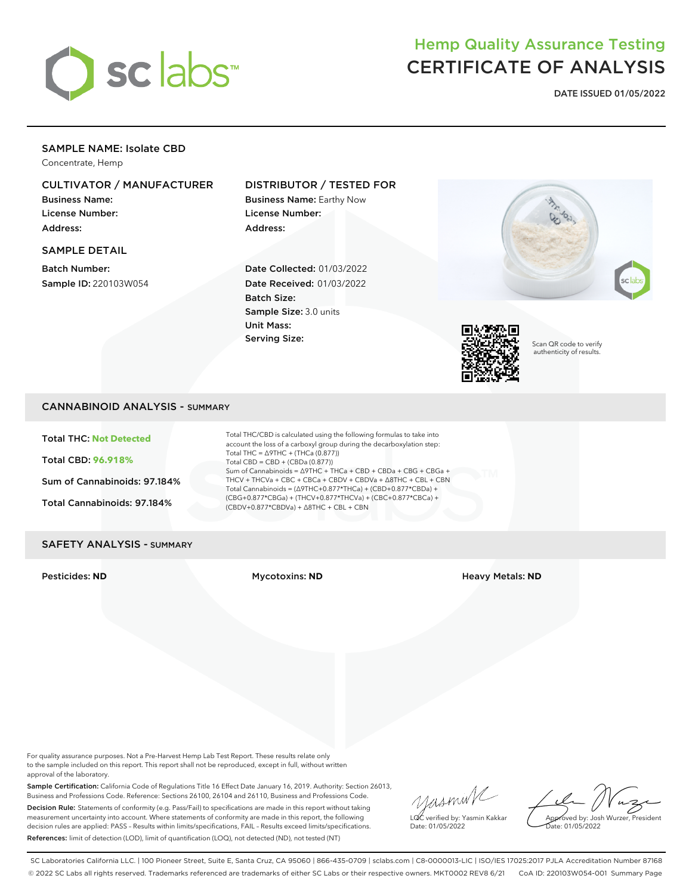

## Hemp Quality Assurance Testing CERTIFICATE OF ANALYSIS

**DATE ISSUED 01/05/2022**

## SAMPLE NAME: Isolate CBD

Concentrate, Hemp

## CULTIVATOR / MANUFACTURER

Business Name: License Number: Address:

#### SAMPLE DETAIL

Batch Number: Sample ID: 220103W054

## DISTRIBUTOR / TESTED FOR

Business Name: Earthy Now License Number: Address:

Date Collected: 01/03/2022 Date Received: 01/03/2022 Batch Size: Sample Size: 3.0 units Unit Mass: Serving Size:





Scan QR code to verify authenticity of results.

## CANNABINOID ANALYSIS - SUMMARY

Total THC: **Not Detected**

Total CBD: **96.918%**

Sum of Cannabinoids: 97.184%

Total Cannabinoids: 97.184%

Total THC/CBD is calculated using the following formulas to take into account the loss of a carboxyl group during the decarboxylation step: Total THC = ∆9THC + (THCa (0.877)) Total CBD = CBD + (CBDa (0.877)) Sum of Cannabinoids = ∆9THC + THCa + CBD + CBDa + CBG + CBGa + THCV + THCVa + CBC + CBCa + CBDV + CBDVa + ∆8THC + CBL + CBN Total Cannabinoids = (∆9THC+0.877\*THCa) + (CBD+0.877\*CBDa) + (CBG+0.877\*CBGa) + (THCV+0.877\*THCVa) + (CBC+0.877\*CBCa) + (CBDV+0.877\*CBDVa) + ∆8THC + CBL + CBN

### SAFETY ANALYSIS - SUMMARY

Pesticides: **ND** Mycotoxins: **ND** Heavy Metals: **ND**

For quality assurance purposes. Not a Pre-Harvest Hemp Lab Test Report. These results relate only to the sample included on this report. This report shall not be reproduced, except in full, without written approval of the laboratory.

Sample Certification: California Code of Regulations Title 16 Effect Date January 16, 2019. Authority: Section 26013, Business and Professions Code. Reference: Sections 26100, 26104 and 26110, Business and Professions Code. Decision Rule: Statements of conformity (e.g. Pass/Fail) to specifications are made in this report without taking measurement uncertainty into account. Where statements of conformity are made in this report, the following decision rules are applied: PASS – Results within limits/specifications, FAIL – Results exceed limits/specifications. References: limit of detection (LOD), limit of quantification (LOQ), not detected (ND), not tested (NT)

yusmink LQC verified by: Yasmin Kakkar Date: 01/05/2022

Approved by: Josh Wurzer, President Date: 01/05/2022

SC Laboratories California LLC. | 100 Pioneer Street, Suite E, Santa Cruz, CA 95060 | 866-435-0709 | sclabs.com | C8-0000013-LIC | ISO/IES 17025:2017 PJLA Accreditation Number 87168 © 2022 SC Labs all rights reserved. Trademarks referenced are trademarks of either SC Labs or their respective owners. MKT0002 REV8 6/21 CoA ID: 220103W054-001 Summary Page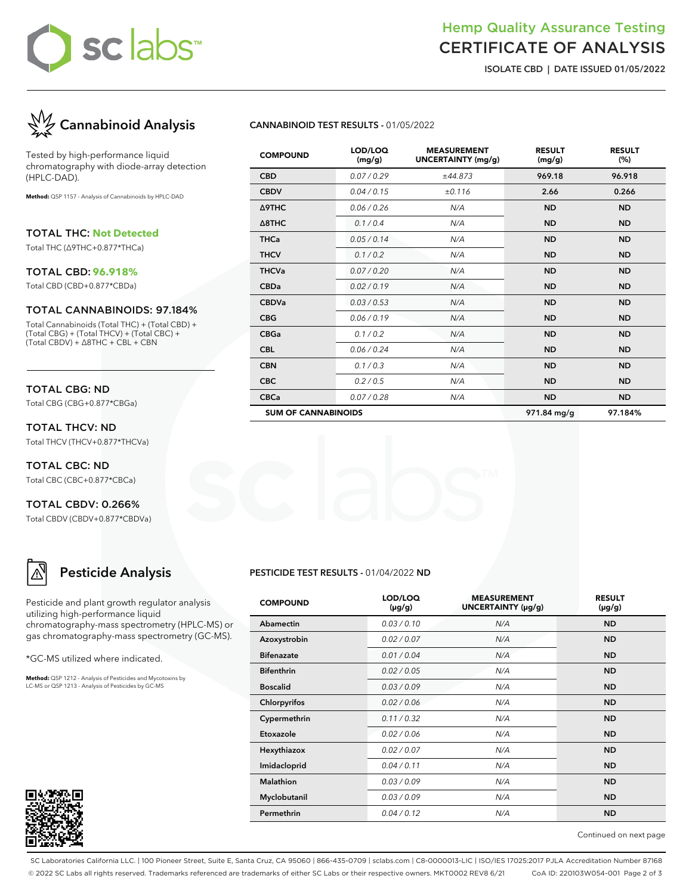# sc labs™

## Hemp Quality Assurance Testing CERTIFICATE OF ANALYSIS

**ISOLATE CBD | DATE ISSUED 01/05/2022**



Tested by high-performance liquid chromatography with diode-array detection (HPLC-DAD).

**Method:** QSP 1157 - Analysis of Cannabinoids by HPLC-DAD

TOTAL THC: **Not Detected**

Total THC (∆9THC+0.877\*THCa)

#### TOTAL CBD: **96.918%**

Total CBD (CBD+0.877\*CBDa)

#### TOTAL CANNABINOIDS: 97.184%

Total Cannabinoids (Total THC) + (Total CBD) + (Total CBG) + (Total THCV) + (Total CBC) + (Total CBDV) + ∆8THC + CBL + CBN

## TOTAL CBG: ND

Total CBG (CBG+0.877\*CBGa)

TOTAL THCV: ND Total THCV (THCV+0.877\*THCVa)

TOTAL CBC: ND Total CBC (CBC+0.877\*CBCa)

TOTAL CBDV: 0.266% Total CBDV (CBDV+0.877\*CBDVa)

## **Pesticide Analysis**

Pesticide and plant growth regulator analysis utilizing high-performance liquid chromatography-mass spectrometry (HPLC-MS) or gas chromatography-mass spectrometry (GC-MS).

\*GC-MS utilized where indicated.

**Method:** QSP 1212 - Analysis of Pesticides and Mycotoxins by LC-MS or QSP 1213 - Analysis of Pesticides by GC-MS



## **CANNABINOID TEST RESULTS -** 01/05/2022

| <b>COMPOUND</b>            | LOD/LOQ<br>(mg/g) | <b>MEASUREMENT</b><br>UNCERTAINTY (mg/g) | <b>RESULT</b><br>(mg/g) | <b>RESULT</b><br>(%) |
|----------------------------|-------------------|------------------------------------------|-------------------------|----------------------|
| <b>CBD</b>                 | 0.07 / 0.29       | ±44.873                                  | 969.18                  | 96.918               |
| <b>CBDV</b>                | 0.04 / 0.15       | ±0.116                                   | 2.66                    | 0.266                |
| Δ9THC                      | 0.06 / 0.26       | N/A                                      | <b>ND</b>               | <b>ND</b>            |
| $\triangle$ 8THC           | 0.1/0.4           | N/A                                      | <b>ND</b>               | <b>ND</b>            |
| <b>THCa</b>                | 0.05/0.14         | N/A                                      | <b>ND</b>               | <b>ND</b>            |
| <b>THCV</b>                | 0.1/0.2           | N/A                                      | <b>ND</b>               | <b>ND</b>            |
| <b>THCVa</b>               | 0.07 / 0.20       | N/A                                      | <b>ND</b>               | <b>ND</b>            |
| <b>CBDa</b>                | 0.02 / 0.19       | N/A                                      | <b>ND</b>               | <b>ND</b>            |
| <b>CBDVa</b>               | 0.03 / 0.53       | N/A                                      | <b>ND</b>               | <b>ND</b>            |
| <b>CBG</b>                 | 0.06/0.19         | N/A                                      | <b>ND</b>               | <b>ND</b>            |
| <b>CBGa</b>                | 0.1 / 0.2         | N/A                                      | <b>ND</b>               | <b>ND</b>            |
| <b>CBL</b>                 | 0.06 / 0.24       | N/A                                      | <b>ND</b>               | <b>ND</b>            |
| <b>CBN</b>                 | 0.1 / 0.3         | N/A                                      | <b>ND</b>               | <b>ND</b>            |
| <b>CBC</b>                 | 0.2 / 0.5         | N/A                                      | <b>ND</b>               | <b>ND</b>            |
| <b>CBCa</b>                | 0.07 / 0.28       | N/A                                      | <b>ND</b>               | <b>ND</b>            |
| <b>SUM OF CANNABINOIDS</b> |                   |                                          | 971.84 mg/g             | 97.184%              |

#### **PESTICIDE TEST RESULTS -** 01/04/2022 **ND**

| <b>COMPOUND</b>   | LOD/LOQ<br>$(\mu g/g)$ | <b>MEASUREMENT</b><br>UNCERTAINTY (µg/g) | <b>RESULT</b><br>(µg/g) |
|-------------------|------------------------|------------------------------------------|-------------------------|
| Abamectin         | 0.03/0.10              | N/A                                      | <b>ND</b>               |
| Azoxystrobin      | 0.02 / 0.07            | N/A                                      | <b>ND</b>               |
| <b>Bifenazate</b> | 0.01/0.04              | N/A                                      | <b>ND</b>               |
| <b>Bifenthrin</b> | 0.02 / 0.05            | N/A                                      | <b>ND</b>               |
| <b>Boscalid</b>   | 0.03/0.09              | N/A                                      | <b>ND</b>               |
| Chlorpyrifos      | 0.02 / 0.06            | N/A                                      | <b>ND</b>               |
| Cypermethrin      | 0.11/0.32              | N/A                                      | <b>ND</b>               |
| Etoxazole         | 0.02 / 0.06            | N/A                                      | <b>ND</b>               |
| Hexythiazox       | 0.02 / 0.07            | N/A                                      | <b>ND</b>               |
| Imidacloprid      | 0.04 / 0.11            | N/A                                      | <b>ND</b>               |
| Malathion         | 0.03/0.09              | N/A                                      | <b>ND</b>               |
| Myclobutanil      | 0.03/0.09              | N/A                                      | <b>ND</b>               |
| Permethrin        | 0.04 / 0.12            | N/A                                      | <b>ND</b>               |

Continued on next page

SC Laboratories California LLC. | 100 Pioneer Street, Suite E, Santa Cruz, CA 95060 | 866-435-0709 | sclabs.com | C8-0000013-LIC | ISO/IES 17025:2017 PJLA Accreditation Number 87168 © 2022 SC Labs all rights reserved. Trademarks referenced are trademarks of either SC Labs or their respective owners. MKT0002 REV8 6/21 CoA ID: 220103W054-001 Page 2 of 3